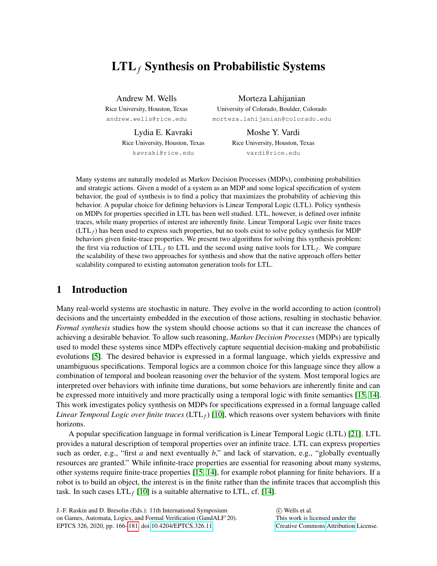# LTL*<sup>f</sup>* Synthesis on Probabilistic Systems

Andrew M. Wells Rice University, Houston, Texas andrew.wells@rice.edu

Morteza Lahijanian University of Colorado, Boulder, Colorado morteza.lahijanian@colorado.edu

Lydia E. Kavraki Rice University, Houston, Texas kavraki@rice.edu

Moshe Y. Vardi Rice University, Houston, Texas vardi@rice.edu

Many systems are naturally modeled as Markov Decision Processes (MDPs), combining probabilities and strategic actions. Given a model of a system as an MDP and some logical specification of system behavior, the goal of synthesis is to find a policy that maximizes the probability of achieving this behavior. A popular choice for defining behaviors is Linear Temporal Logic (LTL). Policy synthesis on MDPs for properties specified in LTL has been well studied. LTL, however, is defined over infinite traces, while many properties of interest are inherently finite. Linear Temporal Logic over finite traces  $(LTL<sub>f</sub>)$  has been used to express such properties, but no tools exist to solve policy synthesis for MDP behaviors given finite-trace properties. We present two algorithms for solving this synthesis problem: the first via reduction of  $LTL_f$  to  $LTL$  and the second using native tools for  $LTL_f$ . We compare the scalability of these two approaches for synthesis and show that the native approach offers better scalability compared to existing automaton generation tools for LTL.

# 1 Introduction

Many real-world systems are stochastic in nature. They evolve in the world according to action (control) decisions and the uncertainty embedded in the execution of those actions, resulting in stochastic behavior. *Formal synthesis* studies how the system should choose actions so that it can increase the chances of achieving a desirable behavior. To allow such reasoning, *Markov Decision Processes* (MDPs) are typically used to model these systems since MDPs effectively capture sequential decision-making and probabilistic evolutions [\[5\]](#page-14-0). The desired behavior is expressed in a formal language, which yields expressive and unambiguous specifications. Temporal logics are a common choice for this language since they allow a combination of temporal and boolean reasoning over the behavior of the system. Most temporal logics are interpreted over behaviors with infinite time durations, but some behaviors are inherently finite and can be expressed more intuitively and more practically using a temporal logic with finite semantics [\[15,](#page-14-1) [14\]](#page-14-2). This work investigates policy synthesis on MDPs for specifications expressed in a formal language called *Linear Temporal Logic over finite traces* (LTL*f*) [\[10\]](#page-14-3), which reasons over system behaviors with finite horizons.

A popular specification language in formal verification is Linear Temporal Logic (LTL) [\[21\]](#page-15-1). LTL provides a natural description of temporal properties over an infinite trace. LTL can express properties such as order, e.g., "first *a* and next eventually *b*," and lack of starvation, e.g., "globally eventually resources are granted." While infinite-trace properties are essential for reasoning about many systems, other systems require finite-trace properties [\[15,](#page-14-1) [14\]](#page-14-2), for example robot planning for finite behaviors. If a robot is to build an object, the interest is in the finite rather than the infinite traces that accomplish this task. In such cases  $LTL_f$  [\[10\]](#page-14-3) is a suitable alternative to LTL, cf. [\[14\]](#page-14-2).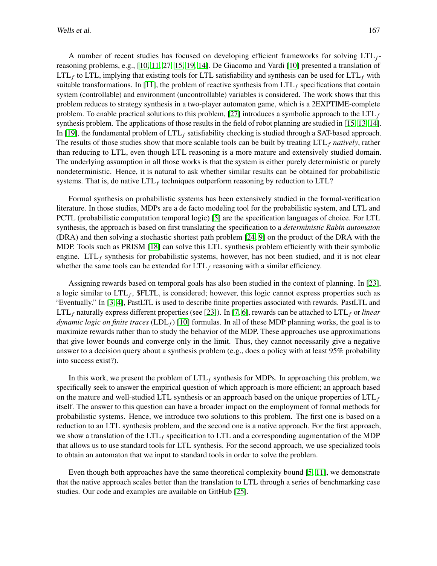A number of recent studies has focused on developing efficient frameworks for solving LTL*f*reasoning problems, e.g., [\[10,](#page-14-3) [11,](#page-14-4) [27,](#page-15-2) [15,](#page-14-1) [19,](#page-15-3) [14\]](#page-14-2). De Giacomo and Vardi [\[10\]](#page-14-3) presented a translation of LTL*<sup>f</sup>* to LTL, implying that existing tools for LTL satisfiability and synthesis can be used for LTL*<sup>f</sup>* with suitable transformations. In [\[11\]](#page-14-4), the problem of reactive synthesis from  $LTL<sub>f</sub>$  specifications that contain system (controllable) and environment (uncontrollable) variables is considered. The work shows that this problem reduces to strategy synthesis in a two-player automaton game, which is a 2EXPTIME-complete problem. To enable practical solutions to this problem, [\[27\]](#page-15-2) introduces a symbolic approach to the  $LTL<sub>f</sub>$ synthesis problem. The applications of those results in the field of robot planning are studied in [\[15,](#page-14-1) [13,](#page-14-5) [14\]](#page-14-2). In [\[19\]](#page-15-3), the fundamental problem of LTL*<sup>f</sup>* satisfiability checking is studied through a SAT-based approach. The results of those studies show that more scalable tools can be built by treating LTL*<sup>f</sup> natively*, rather than reducing to LTL, even though LTL reasoning is a more mature and extensively studied domain. The underlying assumption in all those works is that the system is either purely deterministic or purely nondeterministic. Hence, it is natural to ask whether similar results can be obtained for probabilistic systems. That is, do native LTL*<sup>f</sup>* techniques outperform reasoning by reduction to LTL?

Formal synthesis on probabilistic systems has been extensively studied in the formal-verification literature. In those studies, MDPs are a de facto modeling tool for the probabilistic system, and LTL and PCTL (probabilistic computation temporal logic) [\[5\]](#page-14-0) are the specification languages of choice. For LTL synthesis, the approach is based on first translating the specification to a *deterministic Rabin automaton* (DRA) and then solving a stochastic shortest path problem [\[24,](#page-15-4) [9\]](#page-14-6) on the product of the DRA with the MDP. Tools such as PRISM [\[18\]](#page-14-7) can solve this LTL synthesis problem efficiently with their symbolic engine. LTL<sub>f</sub> synthesis for probabilistic systems, however, has not been studied, and it is not clear whether the same tools can be extended for  $LTL_f$  reasoning with a similar efficiency.

Assigning rewards based on temporal goals has also been studied in the context of planning. In [\[23\]](#page-15-5), a logic similar to LTL*<sup>f</sup>* , \$FLTL, is considered; however, this logic cannot express properties such as "Eventually." In [\[3,](#page-14-8) [4\]](#page-14-9), PastLTL is used to describe finite properties associated with rewards. PastLTL and LTL<sub>f</sub> naturally express different properties (see [\[23\]](#page-15-5)). In [\[7,](#page-14-10) [6\]](#page-14-11), rewards can be attached to  $LTL<sub>f</sub>$  or *linear dynamic logic on finite traces* (LDL*f*) [\[10\]](#page-14-3) formulas. In all of these MDP planning works, the goal is to maximize rewards rather than to study the behavior of the MDP. These approaches use approximations that give lower bounds and converge only in the limit. Thus, they cannot necessarily give a negative answer to a decision query about a synthesis problem (e.g., does a policy with at least 95% probability into success exist?).

In this work, we present the problem of LTL*<sup>f</sup>* synthesis for MDPs. In approaching this problem, we specifically seek to answer the empirical question of which approach is more efficient; an approach based on the mature and well-studied LTL synthesis or an approach based on the unique properties of  $LTL<sub>f</sub>$ itself. The answer to this question can have a broader impact on the employment of formal methods for probabilistic systems. Hence, we introduce two solutions to this problem. The first one is based on a reduction to an LTL synthesis problem, and the second one is a native approach. For the first approach, we show a translation of the LTL*<sup>f</sup>* specification to LTL and a corresponding augmentation of the MDP that allows us to use standard tools for LTL synthesis. For the second approach, we use specialized tools to obtain an automaton that we input to standard tools in order to solve the problem.

Even though both approaches have the same theoretical complexity bound [\[5,](#page-14-0) [11\]](#page-14-4), we demonstrate that the native approach scales better than the translation to LTL through a series of benchmarking case studies. Our code and examples are available on GitHub [\[25\]](#page-15-6).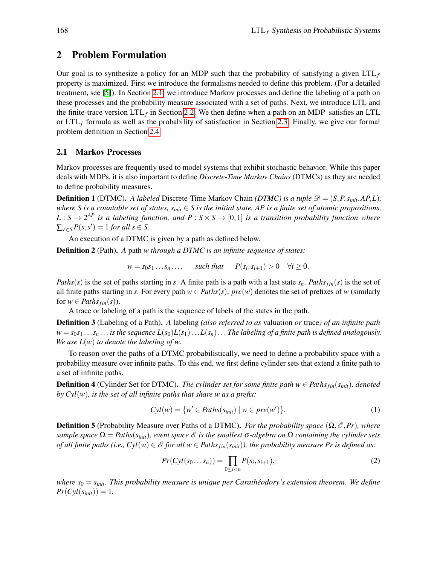## 2 Problem Formulation

Our goal is to synthesize a policy for an MDP such that the probability of satisfying a given  $LTL<sub>f</sub>$ property is maximized. First we introduce the formalisms needed to define this problem. (For a detailed treatment, see [\[5\]](#page-14-0)). In Section [2.1,](#page-2-0) we introduce Markov processes and define the labeling of a path on these processes and the probability measure associated with a set of paths. Next, we introduce LTL and the finite-trace version  $LTL<sub>f</sub>$  in Section [2.2.](#page-3-0) We then define when a path on an MDP satisfies an LTL or  $LTL_f$  formula as well as the probability of satisfaction in Section [2.3.](#page-4-0) Finally, we give our formal problem definition in Section [2.4.](#page-4-1)

### <span id="page-2-0"></span>2.1 Markov Processes

Markov processes are frequently used to model systems that exhibit stochastic behavior. While this paper deals with MDPs, it is also important to define *Discrete-Time Markov Chains* (DTMCs) as they are needed to define probability measures.

<span id="page-2-1"></span>**Definition 1** (DTMC). A labeled Discrete-Time Markov Chain *(DTMC) is a tuple*  $\mathscr{D} = (S, P, s_{init}, AP, L)$ , *where S is a countable set of states,*  $s_{init} \in S$  *is the initial state, AP is a finite set of atomic propositions,*  $L: S \to 2^{AP}$  *is a labeling function, and*  $P: S \times S \to [0,1]$  *is a transition probability function where*  $\sum_{s' \in S} P(s, s') = 1$  *for all s*  $\in S$ .

An execution of a DTMC is given by a path as defined below.

Definition 2 (Path). *A* path *w through a DTMC is an infinite sequence of states:*

*w* = *s*<sub>0</sub>*s*<sub>1</sub> ...*s*<sup>*n*</sup> ..., *such that P*(*s*<sub>*i*</sub>,*s*<sub>*i*+1</sub>) > 0 ∀*i* ≥ 0.

*Paths*(*s*) is the set of paths starting in *s*. A finite path is a path with a last state  $s_n$ . *Paths*  $f_{in}(s)$  is the set of all finite paths starting in *s*. For every path  $w \in Paths(s)$ ,  $pre(w)$  denotes the set of prefixes of *w* (similarly for  $w \in$  *Paths*<sub>*fin*</sub>(*s*)).

A trace or labeling of a path is the sequence of labels of the states in the path.

Definition 3 (Labeling of a Path). *A* labeling *(also referred to as* valuation *or* trace*) of an infinite path*  $w = s_0 s_1 \ldots s_n \ldots$  *is the sequence*  $L(s_0)L(s_1)\ldots L(s_n) \ldots$  *The labeling of a finite path is defined analogously. We use*  $L(w)$  *to denote the labeling of w.* 

To reason over the paths of a DTMC probabilistically, we need to define a probability space with a probability measure over infinite paths. To this end, we first define cylinder sets that extend a finite path to a set of infinite paths.

**Definition 4** (Cylinder Set for DTMC). *The cylinder set for some finite path*  $w \in$  *Paths*  $f_{in}(s_{init})$ *, denoted by Cyl*(*w*)*, is the set of all infinite paths that share w as a prefix:*

$$
Cyl(w) = \{w' \in Paths(s_{init}) \mid w \in pre(w')\}.
$$
 (1)

**Definition 5** (Probability Measure over Paths of a DTMC). *For the probability space*  $(\Omega, \mathcal{E}, Pr)$ *, where sample space*  $\Omega = \text{Paths}(s_{init})$ *, event space*  $\mathcal{E}$  *is the smallest* σ-*algebra on*  $\Omega$  *containing the cylinder sets of all finite paths (i.e., Cyl(w)*  $\in \mathcal{E}$  *for all w*  $\in$  *Paths*  $f_{in}(s_{init})$ *), the probability measure Pr is defined as:* 

$$
Pr(Cyl(s_0...s_n)) = \prod_{0 \le i < n} P(s_i, s_{i+1}),\tag{2}
$$

*where*  $s_0 = s_{\text{init}}$ *. This probability measure is unique per Carathéodory's extension theorem. We define*  $Pr(Cyl(s_{init})) = 1.$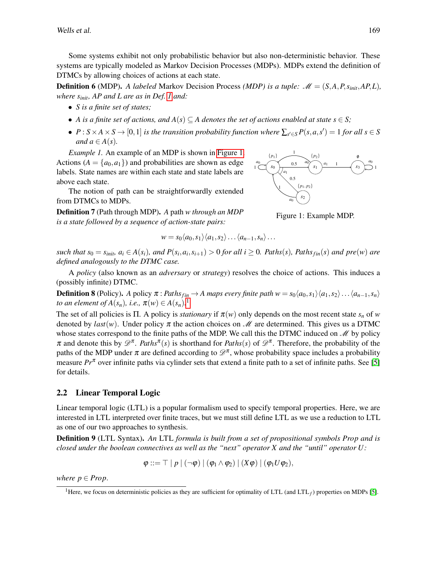Some systems exhibit not only probabilistic behavior but also non-deterministic behavior. These systems are typically modeled as Markov Decision Processes (MDPs). MDPs extend the definition of DTMCs by allowing choices of actions at each state.

**Definition 6** (MDP). A labeled Markov Decision Process *(MDP) is a tuple:*  $M = (S, A, P, s_{init}, AP, L)$ , *where sinit, AP and L are as in Def. [1](#page-2-1) and:*

- *S is a finite set of states;*
- *A* is a finite set of actions, and  $A(s) \subseteq A$  denotes the set of actions enabled at state  $s \in S$ ;
- $P: S \times A \times S \rightarrow [0, 1]$  *is the transition probability function where*  $\sum_{s' \in S} P(s, a, s') = 1$  *for all*  $s \in S$ *and*  $a \in A(s)$ *.*

*Example 1.* An example of an MDP is shown in [Figure 1.](#page-3-1) Actions  $(A = \{a_0, a_1\})$  and probabilities are shown as edge labels. State names are within each state and state labels are above each state.

The notion of path can be straightforwardly extended from DTMCs to MDPs.

Definition 7 (Path through MDP). *A* path *w through an MDP is a state followed by a sequence of action-state pairs:*

$$
y = s_0 \langle a_0, s_1 \rangle \langle a_1, s_2 \rangle \dots \langle a_{n-1}, s_n \rangle \dots
$$

such that  $s_0 = s_{init}$ ,  $a_i \in A(s_i)$ , and  $P(s_i, a_i, s_{i+1}) > 0$  for all  $i \ge 0$ . Paths $(s)$ , Paths $_{fin}(s)$  and pre $(w)$  are *defined analogously to the DTMC case.*

A *policy* (also known as an *adversary* or *strategy*) resolves the choice of actions. This induces a (possibly infinite) DTMC.

**Definition 8** (Policy). *A* policy  $\pi$ : *Paths*<sub>*fin*</sub> → *A maps every finite path*  $w = s_0 \langle a_0, s_1 \rangle \langle a_1, s_2 \rangle \dots \langle a_{n-1}, s_n \rangle$ *to an element of*  $A(s_n)$ *, i.e.,*  $\pi(w) \in A(s_n)$ .<sup>[1](#page-3-2)</sup>

The set of all policies is Π. A policy is *stationary* if  $\pi(w)$  only depends on the most recent state  $s_n$  of w denoted by *last*(*w*). Under policy  $\pi$  the action choices on M are determined. This gives us a DTMC whose states correspond to the finite paths of the MDP. We call this the DTMC induced on  $\mathcal{M}$  by policy  $\pi$  and denote this by  $\mathscr{D}^{\pi}$ . *Paths*<sup> $\pi$ </sup>(*s*) is shorthand for *Paths*(*s*) of  $\mathscr{D}^{\pi}$ . Therefore, the probability of the paths of the MDP under  $\pi$  are defined according to  $\mathscr{D}^{\pi}$ , whose probability space includes a probability measure  $Pr^{\pi}$  over infinite paths via cylinder sets that extend a finite path to a set of infinite paths. See [\[5\]](#page-14-0) for details.

### <span id="page-3-0"></span>2.2 Linear Temporal Logic

Linear temporal logic (LTL) is a popular formalism used to specify temporal properties. Here, we are interested in LTL interpreted over finite traces, but we must still define LTL as we use a reduction to LTL as one of our two approaches to synthesis.

Definition 9 (LTL Syntax). *An* LTL *formula is built from a set of propositional symbols Prop and is closed under the boolean connectives as well as the "next" operator X and the "until" operator U :*

$$
\varphi ::= \top | p | (\neg \varphi) | (\varphi_1 \wedge \varphi_2) | (X\varphi) | (\varphi_1 U \varphi_2),
$$

*where*  $p \in Prop$ .

<span id="page-3-1"></span>

Figure 1: Example MDP.

<span id="page-3-2"></span><sup>&</sup>lt;sup>1</sup>Here, we focus on deterministic policies as they are sufficient for optimality of LTL (and  $LTL_f$ ) properties on MDPs [\[5\]](#page-14-0).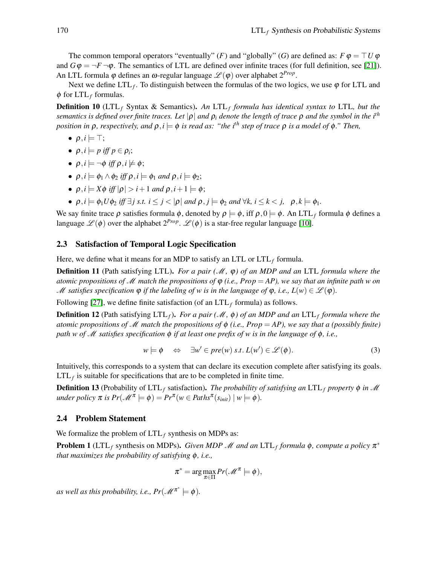The common temporal operators "eventually" (*F*) and "globally" (*G*) are defined as:  $F \varphi = \top U \varphi$ and  $G\phi = \neg F \neg \phi$ . The semantics of LTL are defined over infinite traces (for full definition, see [\[21\]](#page-15-1)). An LTL formula φ defines an ω-regular language  $\mathscr{L}(\varphi)$  over alphabet  $2^{Prop}$ .

Next we define  $LTL_f$ . To distinguish between the formulas of the two logics, we use  $\varphi$  for LTL and  $\phi$  for LTL<sub>f</sub> formulas.

Definition 10 (LTL*<sup>f</sup>* Syntax & Semantics). *An* LTL*<sup>f</sup> formula has identical syntax to* LTL*, but the semantics is defined over finite traces. Let* |ρ| *and* ρ*<sup>i</sup> denote the length of trace* ρ *and the symbol in the i th position in*  $\rho$ *, respectively, and*  $\rho$ *,i*  $\models \phi$  *is read as: "the i<sup>th</sup> step of trace*  $\rho$  *is a model of*  $\phi$ *." Then,* 

- $\bullet$   $\rho, i \models \top;$
- $\bullet \ \rho, i \models p \text{ iff } p \in \rho_i;$
- $\bullet$   $\rho$ *,i*  $\models \neg \phi$  *iff*  $\rho$ *,i*  $\models \phi$ ;
- $\rho, i \models \phi_1 \land \phi_2$  *iff*  $\rho, i \models \phi_1$  *and*  $\rho, i \models \phi_2$ ;
- $\rho, i \models X \phi \text{ iff } |\rho| > i+1 \text{ and } \rho, i+1 \models \phi;$
- $\rho, i \models \phi_1 U \phi_2$  *iff*  $\exists j \text{ s.t. } i \leq j < |\rho|$  and  $\rho, j \models \phi_2$  and  $\forall k, i \leq k < j$ ,  $\rho, k \models \phi_1$ .

We say finite trace  $\rho$  satisfies formula  $\phi$ , denoted by  $\rho \models \phi$ , iff  $\rho, 0 \models \phi$ . An LTL<sub>f</sub> formula  $\phi$  defines a language  $\mathscr{L}(\phi)$  over the alphabet  $2^{Prop}$ .  $\mathscr{L}(\phi)$  is a star-free regular language [\[10\]](#page-14-3).

#### <span id="page-4-0"></span>2.3 Satisfaction of Temporal Logic Specification

Here, we define what it means for an MDP to satisfy an LTL or  $LTL<sub>f</sub>$  formula.

Definition 11 (Path satisfying LTL). *For a pair (*M*,* ϕ*) of an MDP and an* LTL *formula where the atomic propositions of M match the propositions of*  $\varphi$  *(i.e., Prop* = AP), we say that an infinite path w on M satisfies specification  $\varphi$  if the labeling of w is in the language of  $\varphi$ , i.e.,  $L(w) \in \mathcal{L}(\varphi)$ .

Following [\[27\]](#page-15-2), we define finite satisfaction (of an  $LTL_f$  formula) as follows.

Definition 12 (Path satisfying LTL*f*). *For a pair (*M*,* φ*) of an MDP and an* LTL*<sup>f</sup> formula where the atomic propositions of* M *match the propositions of* φ *(i.e., Prop* = *AP), we say that a (possibly finite) path w of* M *satisfies specification* φ *if at least one prefix of w is in the language of* φ*, i.e.,*

$$
w \models \phi \quad \Leftrightarrow \quad \exists w' \in pre(w) \ s.t. \ L(w') \in \mathcal{L}(\phi). \tag{3}
$$

Intuitively, this corresponds to a system that can declare its execution complete after satisfying its goals.  $LTL<sub>f</sub>$  is suitable for specifications that are to be completed in finite time.

**Definition 13** (Probability of  $LTL_f$  satisfaction). *The probability of satisfying an*  $LTL_f$  *property*  $\phi$  *in*  $M$  $under \; policy \; \pi \; is \; Pr(\mathcal{M}^\pi \models \phi) = Pr^\pi(w \in Paths^\pi(s_{\text{init}}) \; | \; w \models \phi).$ 

#### <span id="page-4-1"></span>2.4 Problem Statement

We formalize the problem of  $LTL_f$  synthesis on MDPs as:

<span id="page-4-2"></span>**Problem 1** (LTL<sub>f</sub> synthesis on MDPs). *Given MDP M* and an LTL<sub>f</sub> formula φ, compute a policy π<sup>\*</sup> *that maximizes the probability of satisfying* φ*, i.e.,*

$$
\pi^* = \arg\max_{\pi \in \Pi} Pr(\mathcal{M}^\pi \models \phi),
$$

*as well as this probability, i.e.,*  $Pr(\mathscr{M}^{\pi^*} \models \phi)$ *.*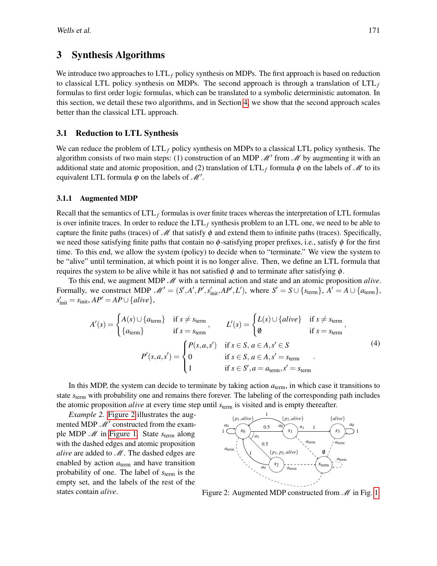### 3 Synthesis Algorithms

We introduce two approaches to  $LTL_f$  policy synthesis on MDPs. The first approach is based on reduction to classical LTL policy synthesis on MDPs. The second approach is through a translation of  $LTL<sub>f</sub>$ formulas to first order logic formulas, which can be translated to a symbolic deterministic automaton. In this section, we detail these two algorithms, and in Section [4,](#page-8-0) we show that the second approach scales better than the classical LTL approach.

### <span id="page-5-1"></span>3.1 Reduction to LTL Synthesis

We can reduce the problem of LTL*<sup>f</sup>* policy synthesis on MDPs to a classical LTL policy synthesis. The algorithm consists of two main steps: (1) construction of an MDP  $\mathcal{M}'$  from  $\mathcal{M}$  by augmenting it with an additional state and atomic proposition, and (2) translation of  $LTL_f$  formula  $\phi$  on the labels of  $\mathcal M$  to its equivalent LTL formula  $\varphi$  on the labels of  $\mathcal{M}'$ .

#### 3.1.1 Augmented MDP

Recall that the semantics of LTL*<sup>f</sup>* formulas is over finite traces whereas the interpretation of LTL formulas is over infinite traces. In order to reduce the  $LTL<sub>f</sub>$  synthesis problem to an LTL one, we need to be able to capture the finite paths (traces) of  $\mathcal M$  that satisfy  $\phi$  and extend them to infinite paths (traces). Specifically, we need those satisfying finite paths that contain no  $\phi$ -satisfying proper prefixes, i.e., satisfy  $\phi$  for the first time. To this end, we allow the system (policy) to decide when to "terminate." We view the system to be "alive" until termination, at which point it is no longer alive. Then, we define an LTL formula that requires the system to be alive while it has not satisfied  $\phi$  and to terminate after satisfying  $\phi$ .

To this end, we augment MDP  $\mathcal{M}$  with a terminal action and state and an atomic proposition *alive*. Formally, we construct MDP  $\mathcal{M}' = (S', A', P', s'_{\text{init}}, AP', L')$ , where  $S' = S \cup \{s_{\text{term}}\}, A' = A \cup \{a_{\text{term}}\},$  $s'_{\text{init}} = s_{\text{init}}$ ,  $AP' = AP \cup \{alive\}$ ,

$$
A'(s) = \begin{cases} A(s) \cup \{a_{\text{term}}\} & \text{if } s \neq s_{\text{term}} \\ \{a_{\text{term}}\} & \text{if } s = s_{\text{term}} \end{cases}, \qquad L'(s) = \begin{cases} L(s) \cup \{alive\} & \text{if } s \neq s_{\text{term}} \\ \emptyset & \text{if } s = s_{\text{term}} \end{cases},
$$
\n
$$
P'(s, a, s') = \begin{cases} P(s, a, s') & \text{if } s \in S, a \in A, s' \in S \\ 0 & \text{if } s \in S, a \in A, s' = s_{\text{term}} \\ 1 & \text{if } s \in S', a = a_{\text{term}}, s' = s_{\text{term}} \end{cases} \tag{4}
$$

In this MDP, the system can decide to terminate by taking action  $a<sub>term</sub>$ , in which case it transitions to state *s*term with probability one and remains there forever. The labeling of the corresponding path includes the atomic proposition *alive* at every time step until *s*term is visited and is empty thereafter.

*Example 2.* [Figure 2](#page-5-0) illustrates the augmented MDP  $\mathcal{M}'$  constructed from the example MDP M in [Figure 1.](#page-3-1) State *s*term along with the dashed edges and atomic proposition *alive* are added to  $\mathcal{M}$ . The dashed edges are enabled by action  $a_{\text{term}}$  and have transition probability of one. The label of *s*term is the empty set, and the labels of the rest of the states contain *alive*.

<span id="page-5-0"></span>

Figure 2: Augmented MDP constructed from  $M$  in Fig. [1.](#page-3-1)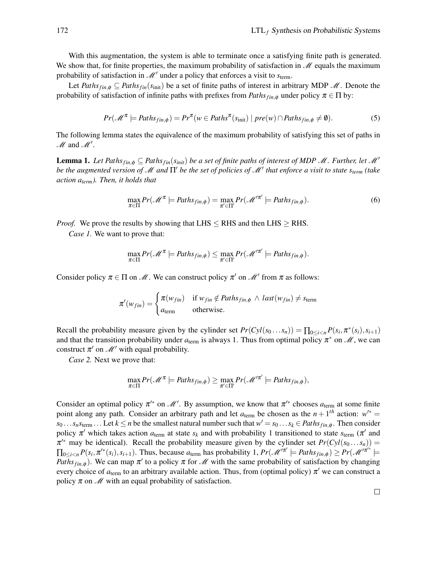With this augmentation, the system is able to terminate once a satisfying finite path is generated. We show that, for finite properties, the maximum probability of satisfaction in  $\mathcal{M}$  equals the maximum probability of satisfaction in  $\mathcal{M}'$  under a policy that enforces a visit to  $s_{\text{term}}$ .

Let *Paths*<sub>*fin*, $\phi \subseteq$  *Paths*<sub>*fin</sub>*(*s*<sub>init</sub>) be a set of finite paths of interest in arbitrary MDP M. Denote the</sub></sub> probability of satisfaction of infinite paths with prefixes from  $Paths_{fin, \phi}$  under policy  $\pi \in \Pi$  by:

$$
Pr(\mathcal{M}^{\pi} \models Paths_{fin,\phi}) = Pr^{\pi}(w \in Paths^{\pi}(s_{init}) \mid pre(w) \cap Paths_{fin,\phi} \neq \emptyset).
$$
 (5)

The following lemma states the equivalence of the maximum probability of satisfying this set of paths in  $M$  and  $M'$ .

<span id="page-6-0"></span>**Lemma 1.** Let Paths  $_{fin, \phi} \subseteq$  Paths  $_{fin}(s_{init})$  be a set of finite paths of interest of MDP M. Further, let M' *be the augmented version of M and*  $\Pi'$  *be the set of policies of M<sup>1</sup> that enforce a visit to state s<sub>term</sub> (take action aterm). Then, it holds that*

$$
\max_{\pi \in \Pi} Pr(\mathcal{M}^{\pi} \models Paths_{fin,\phi}) = \max_{\pi' \in \Pi'} Pr(\mathcal{M}'^{\pi'} \models Paths_{fin,\phi}). \tag{6}
$$

*Proof.* We prove the results by showing that  $L$ HS  $\leq$  RHS and then  $L$ HS  $\geq$  RHS.

*Case 1.* We want to prove that:

$$
\max_{\pi \in \Pi} Pr(\mathscr{M}^\pi \models Paths_{fin,\phi}) \leq \max_{\pi' \in \Pi'} Pr(\mathscr{M}'^{\pi'} \models Paths_{fin,\phi}).
$$

Consider policy  $\pi \in \Pi$  on  $\mathcal{M}$ . We can construct policy  $\pi'$  on  $\mathcal{M}'$  from  $\pi$  as follows:

$$
\pi'(w_{fin}) = \begin{cases} \pi(w_{fin}) & \text{if } w_{fin} \notin Paths_{fin, \phi} \land last(w_{fin}) \neq s_{\text{term}} \\ a_{\text{term}} & \text{otherwise.} \end{cases}
$$

Recall the probability measure given by the cylinder set  $Pr(Cyl(s_0...s_n)) = \prod_{0 \le i < n} P(s_i, \pi^*(s_i), s_{i+1})$ and that the transition probability under  $a_{\text{term}}$  is always 1. Thus from optimal policy  $\pi^*$  on  $\mathcal{M}$ , we can construct  $\pi'$  on  $\mathcal{M}'$  with equal probability.

*Case 2.* Next we prove that:

$$
\max_{\pi \in \Pi} Pr(\mathscr{M}^\pi \models Paths_{fin,\phi}) \geq \max_{\pi' \in \Pi'} Pr(\mathscr{M}'^{\pi'} \models Paths_{fin,\phi}),
$$

Consider an optimal policy  $\pi^{\prime*}$  on  $\mathcal{M}'$ . By assumption, we know that  $\pi^{\prime*}$  chooses  $a_{\text{term}}$  at some finite point along any path. Consider an arbitrary path and let  $a_{\text{term}}$  be chosen as the  $n + 1$ <sup>th</sup> action:  $w^{\prime*} =$  $s_0 \dots s_n s_{\text{term}} \dots$  Let  $k \le n$  be the smallest natural number such that  $w' = s_0 \dots s_k \in Paths_{fin,\phi}$ . Then consider policy  $\pi'$  which takes action  $a_{\text{term}}$  at state  $s_k$  and with probability 1 transitioned to state  $s_{\text{term}}$  ( $\pi'$  and  $\pi^{k}$  may be identical). Recall the probability measure given by the cylinder set  $Pr(Cyl(s_0...s_n))$  =  $\prod_{0 \le i < n} P(s_i, \pi^{i*}(s_i), s_{i+1})$ . Thus, because  $a_{\text{term}}$  has probability 1,  $Pr(\mathcal{M}^{i\pi^i} \models Path s_{fin,\phi}) \ge Pr(\mathcal{M}^{i\pi^{i*}} \models$ *Paths*<sub>*fin,φ*). We can map  $\pi'$  to a policy  $\pi$  for M with the same probability of satisfaction by changing</sub> every choice of  $a_{\text{term}}$  to an arbitrary available action. Thus, from (optimal policy)  $\pi'$  we can construct a policy  $\pi$  on  $\mathcal M$  with an equal probability of satisfaction.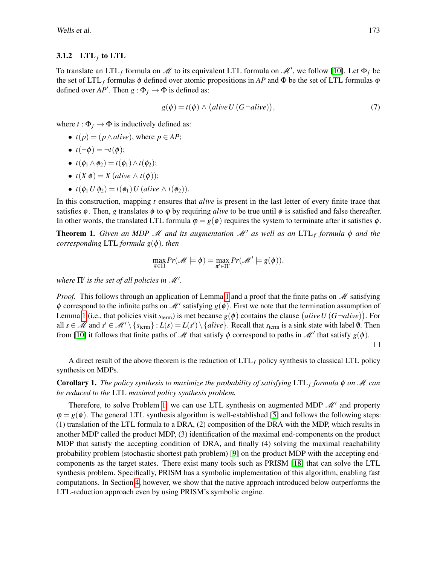#### 3.1.2 LTL $_f$  to LTL

To translate an LTL<sub>f</sub> formula on M to its equivalent LTL formula on M', we follow [\[10\]](#page-14-3). Let  $\Phi_f$  be the set of LTL<sub>f</sub> formulas  $\phi$  defined over atomic propositions in *AP* and  $\Phi$  be the set of LTL formulas  $\phi$ defined over  $AP'$ . Then  $g : \Phi_f \to \Phi$  is defined as:

$$
g(\phi) = t(\phi) \land (alive \, U \, (G\neg alive)), \tag{7}
$$

where  $t : \Phi_f \to \Phi$  is inductively defined as:

- $t(p) = (p \land alive)$ , where  $p \in AP$ ;
- $t(\neg \phi) = \neg t(\phi);$
- $t(\phi_1 \wedge \phi_2) = t(\phi_1) \wedge t(\phi_2);$
- $t(X \phi) = X$  (*alive*  $\wedge t(\phi)$ );
- $t(\phi_1 U \phi_2) = t(\phi_1) U (alive \wedge t(\phi_2)).$

In this construction, mapping *t* ensures that *alive* is present in the last letter of every finite trace that satisfies  $\phi$ . Then, *g* translates  $\phi$  to  $\phi$  by requiring *alive* to be true until  $\phi$  is satisfied and false thereafter. In other words, the translated LTL formula  $\varphi = g(\phi)$  requires the system to terminate after it satisfies  $\phi$ .

<span id="page-7-0"></span>**Theorem 1.** *Given an MDP*  $\mathcal{M}$  *and its augmentation*  $\mathcal{M}'$  *as well as an LTL<sub>f</sub> formula*  $\phi$  *and the corresponding* LTL *formula g*(φ)*, then*

$$
\max_{\pi \in \Pi} Pr(\mathscr{M} \models \phi) = \max_{\pi' \in \Pi'} Pr(\mathscr{M}' \models g(\phi)),
$$

where  $\Pi'$  is the set of all policies in  $\mathscr{M}'.$ 

*Proof.* This follows through an application of Lemma [1](#page-6-0) and a proof that the finite paths on  $\mathcal{M}$  satisfying  $\phi$  correspond to the infinite paths on  $\mathcal{M}'$  satisfying  $g(\phi)$ . First we note that the termination assumption of Lemma [1](#page-6-0) (i.e., that policies visit  $s_{\text{term}}$ ) is met because  $g(\phi)$  contains the clause  $(aliveU(G\neg alive)$ ). For all  $s \in \mathcal{M}$  and  $s' \in \mathcal{M}' \setminus \{s_{\text{term}}\}$ :  $L(s) = L(s') \setminus \{alive\}$ . Recall that  $s_{\text{term}}$  is a sink state with label  $\emptyset$ . Then from [\[10\]](#page-14-3) it follows that finite paths of  $\mathcal M$  that satisfy  $\phi$  correspond to paths in  $\mathcal M'$  that satisfy  $g(\phi)$ .

A direct result of the above theorem is the reduction of LTL*<sup>f</sup>* policy synthesis to classical LTL policy synthesis on MDPs.

Corollary 1. *The policy synthesis to maximize the probability of satisfying* LTL*<sup>f</sup> formula* φ *on* M *can be reduced to the* LTL *maximal policy synthesis problem.*

Therefore, to solve Problem [1,](#page-4-2) we can use LTL synthesis on augmented MDP  $\mathcal{M}'$  and property  $\varphi = g(\varphi)$ . The general LTL synthesis algorithm is well-established [\[5\]](#page-14-0) and follows the following steps: (1) translation of the LTL formula to a DRA, (2) composition of the DRA with the MDP, which results in another MDP called the product MDP, (3) identification of the maximal end-components on the product MDP that satisfy the accepting condition of DRA, and finally (4) solving the maximal reachability probability problem (stochastic shortest path problem) [\[9\]](#page-14-6) on the product MDP with the accepting endcomponents as the target states. There exist many tools such as PRISM [\[18\]](#page-14-7) that can solve the LTL synthesis problem. Specifically, PRISM has a symbolic implementation of this algorithm, enabling fast computations. In Section [4,](#page-8-0) however, we show that the native approach introduced below outperforms the LTL-reduction approach even by using PRISM's symbolic engine.

 $\Box$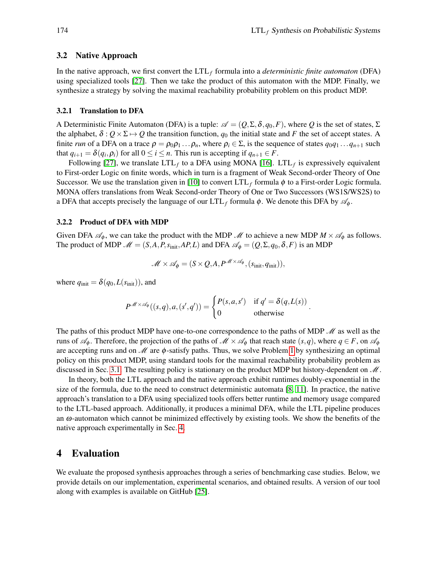.

#### 3.2 Native Approach

In the native approach, we first convert the LTL*<sup>f</sup>* formula into a *deterministic finite automaton* (DFA) using specialized tools [\[27\]](#page-15-2). Then we take the product of this automaton with the MDP. Finally, we synthesize a strategy by solving the maximal reachability probability problem on this product MDP.

#### 3.2.1 Translation to DFA

A Deterministic Finite Automaton (DFA) is a tuple:  $\mathscr{A} = (Q, \Sigma, \delta, q_0, F)$ , where Q is the set of states,  $\Sigma$ the alphabet,  $\delta : Q \times \Sigma \mapsto Q$  the transition function,  $q_0$  the initial state and *F* the set of accept states. A finite *run* of a DFA on a trace  $\rho = \rho_0 \rho_1 \dots \rho_n$ , where  $\rho_i \in \Sigma$ , is the sequence of states  $q_0 q_1 \dots q_{n+1}$  such that  $q_{i+1} = \delta(q_i, \rho_i)$  for all  $0 \le i \le n$ . This run is accepting if  $q_{n+1} \in F$ .

Following [\[27\]](#page-15-2), we translate  $LTL_f$  to a DFA using MONA [\[16\]](#page-14-12).  $LTL_f$  is expressively equivalent to First-order Logic on finite words, which in turn is a fragment of Weak Second-order Theory of One Successor. We use the translation given in [\[10\]](#page-14-3) to convert LTL*<sup>f</sup>* formula φ to a First-order Logic formula. MONA offers translations from Weak Second-order Theory of One or Two Successors (WS1S/WS2S) to a DFA that accepts precisely the language of our  $LTL_f$  formula  $\phi$ . We denote this DFA by  $\mathscr{A}_{\phi}$ .

#### 3.2.2 Product of DFA with MDP

Given DFA  $\mathscr{A}_{\phi}$ , we can take the product with the MDP  $\mathscr{M}$  to achieve a new MDP  $M \times \mathscr{A}_{\phi}$  as follows. The product of MDP  $\mathcal{M} = (S, A, P, s_{init}, AP, L)$  and DFA  $\mathcal{A}_{\phi} = (Q, \Sigma, q_0, \delta, F)$  is an MDP

$$
\mathscr{M} \times \mathscr{A}_{\phi} = (S \times Q, A, P^{\mathscr{M} \times \mathscr{A}_{\phi}}, (s_{\text{init}}, q_{\text{init}})),
$$

where  $q_{\text{init}} = \delta(q_0, L(s_{\text{init}}))$ , and

$$
P^{\mathscr{M}\times\mathscr{A}_{\phi}}((s,q),a,(s',q')) = \begin{cases} P(s,a,s') & \text{if } q' = \delta(q,L(s)) \\ 0 & \text{otherwise} \end{cases}
$$

The paths of this product MDP have one-to-one correspondence to the paths of MDP  $\mathcal{M}$  as well as the runs of  $\mathscr{A}_{\phi}$ . Therefore, the projection of the paths of  $\mathscr{M} \times \mathscr{A}_{\phi}$  that reach state  $(s, q)$ , where  $q \in F$ , on  $\mathscr{A}_{\phi}$ are accepting runs and on  $\mathcal M$  are  $\phi$ -satisfy paths. Thus, we solve Problem [1](#page-4-2) by synthesizing an optimal policy on this product MDP, using standard tools for the maximal reachability probability problem as discussed in Sec. [3.1.](#page-5-1) The resulting policy is stationary on the product MDP but history-dependent on  $\mathcal{M}$ .

In theory, both the LTL approach and the native approach exhibit runtimes doubly-exponential in the size of the formula, due to the need to construct deterministic automata [\[8,](#page-14-13) [11\]](#page-14-4). In practice, the native approach's translation to a DFA using specialized tools offers better runtime and memory usage compared to the LTL-based approach. Additionally, it produces a minimal DFA, while the LTL pipeline produces an  $\omega$ -automaton which cannot be minimized effectively by existing tools. We show the benefits of the native approach experimentally in Sec. [4.](#page-8-0)

# <span id="page-8-0"></span>4 Evaluation

We evaluate the proposed synthesis approaches through a series of benchmarking case studies. Below, we provide details on our implementation, experimental scenarios, and obtained results. A version of our tool along with examples is available on GitHub [\[25\]](#page-15-6).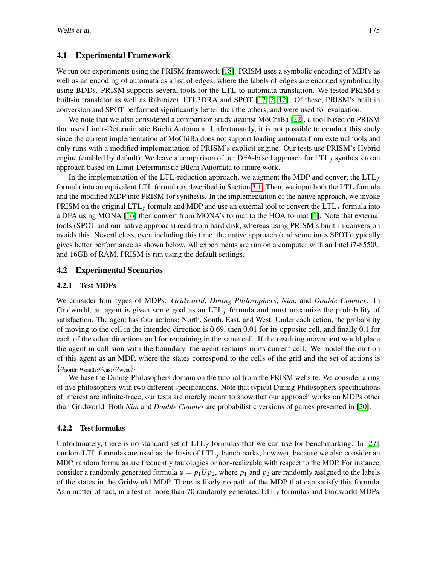### 4.1 Experimental Framework

We run our experiments using the PRISM framework [\[18\]](#page-14-7). PRISM uses a symbolic encoding of MDPs as well as an encoding of automata as a list of edges, where the labels of edges are encoded symbolically using BDDs. PRISM supports several tools for the LTL-to-automata translation. We tested PRISM's built-in translator as well as Rabinizer, LTL3DRA and SPOT [\[17,](#page-14-14) [2,](#page-14-15) [12\]](#page-14-16). Of these, PRISM's built in conversion and SPOT performed significantly better than the others, and were used for evaluation.

We note that we also considered a comparison study against MoChiBa [\[22\]](#page-15-7), a tool based on PRISM that uses Limit-Deterministic Büchi Automata. Unfortunately, it is not possible to conduct this study since the current implementation of MoChiBa does not support loading automata from external tools and only runs with a modified implementation of PRISM's explicit engine. Our tests use PRISM's Hybrid engine (enabled by default). We leave a comparison of our DFA-based approach for LTL*<sup>f</sup>* synthesis to an approach based on Limit-Deterministic Büchi Automata to future work.

In the implementation of the LTL-reduction approach, we augment the MDP and convert the  $LTL<sub>f</sub>$ formula into an equivalent LTL formula as described in Section [3.1.](#page-5-1) Then, we input both the LTL formula and the modified MDP into PRISM for synthesis. In the implementation of the native approach, we invoke PRISM on the original  $LTL_f$  formula and MDP and use an external tool to convert the  $LTL_f$  formula into a DFA using MONA [\[16\]](#page-14-12) then convert from MONA's format to the HOA format [\[1\]](#page-14-17). Note that external tools (SPOT and our native approach) read from hard disk, whereas using PRISM's built-in conversion avoids this. Nevertheless, even including this time, the native approach (and sometimes SPOT) typically gives better performance as shown below. All experiments are run on a computer with an Intel i7-8550U and 16GB of RAM. PRISM is run using the default settings.

### 4.2 Experimental Scenarios

### 4.2.1 Test MDPs

We consider four types of MDPs: *Gridworld*, *Dining Philosophers*, *Nim*, and *Double Counter*. In Gridworld, an agent is given some goal as an LTL*<sup>f</sup>* formula and must maximize the probability of satisfaction. The agent has four actions: North, South, East, and West. Under each action, the probability of moving to the cell in the intended direction is 0.69, then 0.01 for its opposite cell, and finally 0.1 for each of the other directions and for remaining in the same cell. If the resulting movement would place the agent in collision with the boundary, the agent remains in its current cell. We model the motion of this agent as an MDP, where the states correspond to the cells of the grid and the set of actions is  ${a_{\text{north}}, a_{\text{south}}, a_{\text{east}}, a_{\text{west}}}.$ 

We base the Dining-Philosophers domain on the tutorial from the PRISM website. We consider a ring of five philosophers with two different specifications. Note that typical Dining-Philosophers specifications of interest are infinite-trace; our tests are merely meant to show that our approach works on MDPs other than Gridworld. Both *Nim* and *Double Counter* are probabilistic versions of games presented in [\[20\]](#page-15-8).

### 4.2.2 Test formulas

Unfortunately, there is no standard set of  $LTL_f$  formulas that we can use for benchmarking. In [\[27\]](#page-15-2), random LTL formulas are used as the basis of  $LTL<sub>f</sub>$  benchmarks; however, because we also consider an MDP, random formulas are frequently tautologies or non-realizable with respect to the MDP. For instance, consider a randomly generated formula  $\phi = p_1 U p_2$ , where  $p_1$  and  $p_2$  are randomly assigned to the labels of the states in the Gridworld MDP. There is likely no path of the MDP that can satisfy this formula. As a matter of fact, in a test of more than 70 randomly generated LTL*<sup>f</sup>* formulas and Gridworld MDPs,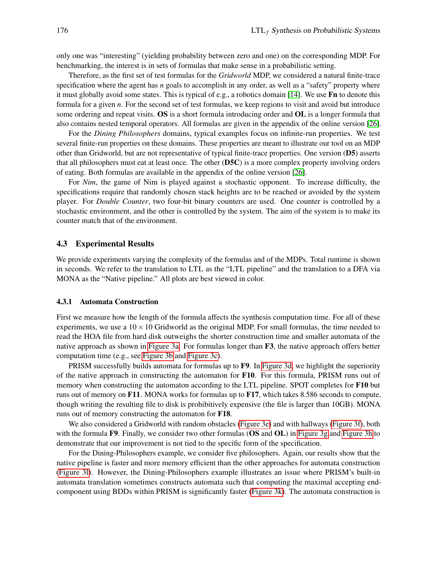only one was "interesting" (yielding probability between zero and one) on the corresponding MDP. For benchmarking, the interest is in sets of formulas that make sense in a probabilistic setting.

Therefore, as the first set of test formulas for the *Gridworld* MDP, we considered a natural finite-trace specification where the agent has *n* goals to accomplish in any order, as well as a "safety" property where it must globally avoid some states. This is typical of e.g., a robotics domain [\[14\]](#page-14-2). We use Fn to denote this formula for a given *n*. For the second set of test formulas, we keep regions to visit and avoid but introduce some ordering and repeat visits. OS is a short formula introducing order and OL is a longer formula that also contains nested temporal operators. All formulas are given in the appendix of the online version [\[26\]](#page-15-9).

For the *Dining Philosophers* domains, typical examples focus on infinite-run properties. We test several finite-run properties on these domains. These properties are meant to illustrate our tool on an MDP other than Gridworld, but are not representative of typical finite-trace properties. One version (D5) asserts that all philosophers must eat at least once. The other  $(D5C)$  is a more complex property involving orders of eating. Both formulas are available in the appendix of the online version [\[26\]](#page-15-9).

For *Nim*, the game of Nim is played against a stochastic opponent. To increase difficulty, the specifications require that randomly chosen stack heights are to be reached or avoided by the system player. For *Double Counter*, two four-bit binary counters are used. One counter is controlled by a stochastic environment, and the other is controlled by the system. The aim of the system is to make its counter match that of the environment.

#### 4.3 Experimental Results

We provide experiments varying the complexity of the formulas and of the MDPs. Total runtime is shown in seconds. We refer to the translation to LTL as the "LTL pipeline" and the translation to a DFA via MONA as the "Native pipeline." All plots are best viewed in color.

#### 4.3.1 Automata Construction

First we measure how the length of the formula affects the synthesis computation time. For all of these experiments, we use a  $10 \times 10$  Gridworld as the original MDP. For small formulas, the time needed to read the HOA file from hard disk outweighs the shorter construction time and smaller automata of the native approach as shown in [Figure 3a.](#page-11-0) For formulas longer than F3, the native approach offers better computation time (e.g., see [Figure 3b](#page-11-0) and [Figure 3c\)](#page-11-0).

PRISM successfully builds automata for formulas up to  $\mathbf{F9}$ . In [Figure 3d,](#page-11-0) we highlight the superiority of the native approach in constructing the automaton for F10. For this formula, PRISM runs out of memory when constructing the automaton according to the LTL pipeline. SPOT completes for F10 but runs out of memory on F11. MONA works for formulas up to F17, which takes 8.586 seconds to compute, though writing the resulting file to disk is prohibitively expensive (the file is larger than 10GB). MONA runs out of memory constructing the automaton for F18.

We also considered a Gridworld with random obstacles [\(Figure 3e\)](#page-11-0) and with hallways [\(Figure 3f\)](#page-11-0), both with the formula F9. Finally, we consider two other formulas (OS and OL) in [Figure 3g](#page-11-0) and [Figure 3h](#page-11-0) to demonstrate that our improvement is not tied to the specific form of the specification.

For the Dining-Philosophers example, we consider five philosophers. Again, our results show that the native pipeline is faster and more memory efficient than the other approaches for automata construction [\(Figure 3l\)](#page-11-0). However, the Dining-Philosophers example illustrates an issue where PRISM's built-in automata translation sometimes constructs automata such that computing the maximal accepting endcomponent using BDDs within PRISM is significantly faster [\(Figure 3k\)](#page-11-0). The automata construction is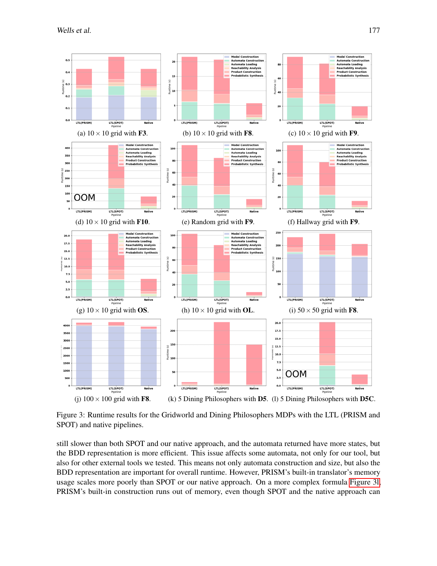<span id="page-11-0"></span>

Figure 3: Runtime results for the Gridworld and Dining Philosophers MDPs with the LTL (PRISM and SPOT) and native pipelines.

still slower than both SPOT and our native approach, and the automata returned have more states, but the BDD representation is more efficient. This issue affects some automata, not only for our tool, but also for other external tools we tested. This means not only automata construction and size, but also the BDD representation are important for overall runtime. However, PRISM's built-in translator's memory usage scales more poorly than SPOT or our native approach. On a more complex formula [Figure 3l,](#page-11-0) PRISM's built-in construction runs out of memory, even though SPOT and the native approach can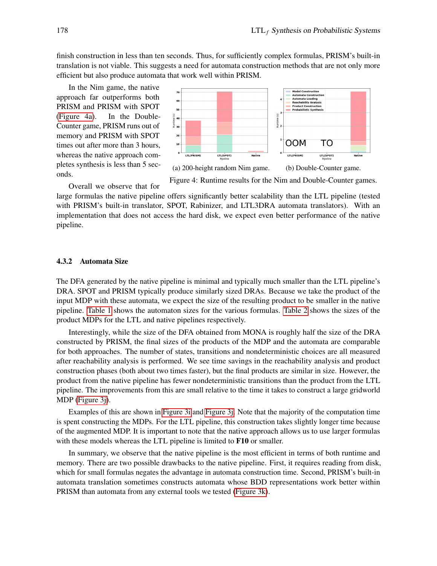finish construction in less than ten seconds. Thus, for sufficiently complex formulas, PRISM's built-in translation is not viable. This suggests a need for automata construction methods that are not only more efficient but also produce automata that work well within PRISM.

In the Nim game, the native approach far outperforms both PRISM and PRISM with SPOT [\(Figure 4a\)](#page-12-0). In the Double-Counter game, PRISM runs out of memory and PRISM with SPOT times out after more than 3 hours, whereas the native approach completes synthesis is less than 5 seconds.

<span id="page-12-0"></span>

Figure 4: Runtime results for the Nim and Double-Counter games. Overall we observe that for

large formulas the native pipeline offers significantly better scalability than the LTL pipeline (tested with PRISM's built-in translator, SPOT, Rabinizer, and LTL3DRA automata translators). With an implementation that does not access the hard disk, we expect even better performance of the native pipeline.

#### 4.3.2 Automata Size

The DFA generated by the native pipeline is minimal and typically much smaller than the LTL pipeline's DRA. SPOT and PRISM typically produce similarly sized DRAs. Because we take the product of the input MDP with these automata, we expect the size of the resulting product to be smaller in the native pipeline. [Table 1](#page-13-0) shows the automaton sizes for the various formulas. [Table 2](#page-13-1) shows the sizes of the product MDPs for the LTL and native pipelines respectively.

Interestingly, while the size of the DFA obtained from MONA is roughly half the size of the DRA constructed by PRISM, the final sizes of the products of the MDP and the automata are comparable for both approaches. The number of states, transitions and nondeterministic choices are all measured after reachability analysis is performed. We see time savings in the reachability analysis and product construction phases (both about two times faster), but the final products are similar in size. However, the product from the native pipeline has fewer nondeterministic transitions than the product from the LTL pipeline. The improvements from this are small relative to the time it takes to construct a large gridworld MDP [\(Figure 3j\)](#page-11-0).

Examples of this are shown in [Figure 3i](#page-11-0) and [Figure 3j.](#page-11-0) Note that the majority of the computation time is spent constructing the MDPs. For the LTL pipeline, this construction takes slightly longer time because of the augmented MDP. It is important to note that the native approach allows us to use larger formulas with these models whereas the LTL pipeline is limited to **F10** or smaller.

In summary, we observe that the native pipeline is the most efficient in terms of both runtime and memory. There are two possible drawbacks to the native pipeline. First, it requires reading from disk, which for small formulas negates the advantage in automata construction time. Second, PRISM's built-in automata translation sometimes constructs automata whose BDD representations work better within PRISM than automata from any external tools we tested [\(Figure 3k\)](#page-11-0).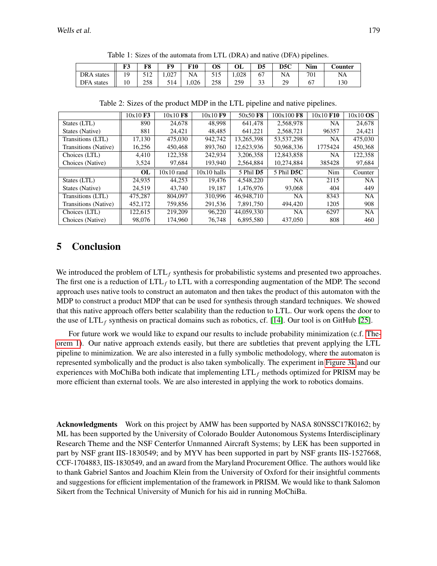<span id="page-13-0"></span>

|                   | F3 | F8  | F0    | <b>F10</b> | OS  | OL    | D <sub>5</sub>       | D5C | <b>Nim</b> | <b>Counter</b> |
|-------------------|----|-----|-------|------------|-----|-------|----------------------|-----|------------|----------------|
| <b>DRA</b> states | 10 | 512 | 1.027 | NA         | 515 | 1.028 | 67                   | NA  | 701        | NA             |
| DFA states        |    | 258 | 514   | .026       | 258 | 259   | $\mathcal{L}$<br>ر ر | 29  |            | 130            |

Table 1: Sizes of the automata from LTL (DRA) and native (DFA) pipelines.

<span id="page-13-1"></span>

|                      | $10x10$ F3 | $10x10$ F <sub>8</sub> | 10x10F9       | 50x50 F8              | 100x100 F8   | 10x10 F10 | $10x10$ OS |
|----------------------|------------|------------------------|---------------|-----------------------|--------------|-----------|------------|
| States (LTL)         | 890        | 24,678                 | 48.998        | 641.478               | 2.568.978    | NA        | 24,678     |
| States (Native)      | 881        | 24,421                 | 48,485        | 641,221               | 2,568,721    | 96357     | 24,421     |
| Transitions (LTL)    | 17.130     | 475,030                | 942,742       | 13.265.398            | 53, 537, 298 | NA        | 475,030    |
| Transitions (Native) | 16,256     | 450,468                | 893,760       | 12,623,936            | 50,968,336   | 1775424   | 450,368    |
| Choices (LTL)        | 4.410      | 122.358                | 242,934       | 3,206,358             | 12,843,858   | NA        | 122,358    |
| Choices (Native)     | 3,524      | 97,684                 | 193,940       | 2,564,884             | 10,274,884   | 385428    | 97,684     |
|                      |            |                        |               |                       |              |           |            |
|                      | <b>OL</b>  | $10x10$ rand           | $10x10$ halls | 5 Phil D <sub>5</sub> | 5 Phil D5C   | Nim       | Counter    |
| States (LTL)         | 24,935     | 44,253                 | 19.476        | 4.548.220             | <b>NA</b>    | 2115      | NA.        |
| States (Native)      | 24.519     | 43.740                 | 19.187        | 1.476.976             | 93,068       | 404       | 449        |
| Transitions (LTL)    | 475.287    | 804,097                | 310,996       | 46,948,710            | NA.          | 8343      | <b>NA</b>  |
| Transitions (Native) | 452,172    | 759,856                | 291,536       | 7,891,750             | 494,420      | 1205      | 908        |
| Choices (LTL)        | 122,615    | 219,209                | 96.220        | 44,059,330            | <b>NA</b>    | 6297      | NA.        |

Table 2: Sizes of the product MDP in the LTL pipeline and native pipelines.

# 5 Conclusion

We introduced the problem of LTL<sub>f</sub> synthesis for probabilistic systems and presented two approaches. The first one is a reduction of LTL<sub>f</sub> to LTL with a corresponding augmentation of the MDP. The second approach uses native tools to construct an automaton and then takes the product of this automaton with the MDP to construct a product MDP that can be used for synthesis through standard techniques. We showed that this native approach offers better scalability than the reduction to LTL. Our work opens the door to the use of  $LTL_f$  synthesis on practical domains such as robotics, cf. [\[14\]](#page-14-2). Our tool is on GitHub [\[25\]](#page-15-6).

For future work we would like to expand our results to include probability minimization (c.f. [The](#page-7-0)[orem 1\)](#page-7-0). Our native approach extends easily, but there are subtleties that prevent applying the LTL pipeline to minimization. We are also interested in a fully symbolic methodology, where the automaton is represented symbolically and the product is also taken symbolically. The experiment in [Figure 3k](#page-11-0) and our experiences with MoChiBa both indicate that implementing LTL*<sup>f</sup>* methods optimized for PRISM may be more efficient than external tools. We are also interested in applying the work to robotics domains.

Acknowledgments Work on this project by AMW has been supported by NASA 80NSSC17K0162; by ML has been supported by the University of Colorado Boulder Autonomous Systems Interdisciplinary Research Theme and the NSF Centerfor Unmanned Aircraft Systems; by LEK has been supported in part by NSF grant IIS-1830549; and by MYV has been supported in part by NSF grants IIS-1527668, CCF-1704883, IIS-1830549, and an award from the Maryland Procurement Office. The authors would like to thank Gabriel Santos and Joachim Klein from the University of Oxford for their insightful comments and suggestions for efficient implementation of the framework in PRISM. We would like to thank Salomon Sikert from the Technical University of Munich for his aid in running MoChiBa.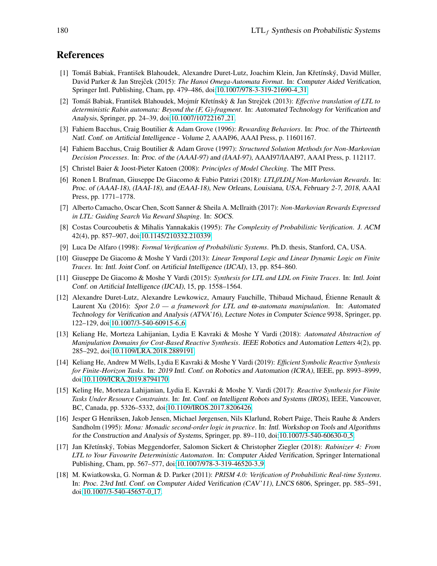# References

- <span id="page-14-17"></span>[1] Tomáš Babiak, František Blahoudek, Alexandre Duret-Lutz, Joachim Klein, Jan Křetínský, David Müller, David Parker & Jan Strejček (2015): *The Hanoi Omega-Automata Format*. In: Computer Aided Verification, Springer Intl. Publishing, Cham, pp. 479–486, doi[:10.1007/978-3-319-21690-4](http://dx.doi.org/10.1007/978-3-319-21690-4_31) 31.
- <span id="page-14-15"></span>[2] Tomáš Babiak, František Blahoudek, Mojmír Křetínský & Jan Strejček (2013): *Effective translation of LTL to deterministic Rabin automata: Beyond the (F, G)-fragment*. In: Automated Technology for Verification and Analysis, Springer, pp. 24–39, doi[:10.1007/10722167](http://dx.doi.org/10.1007/10722167_21) 21.
- <span id="page-14-8"></span>[3] Fahiem Bacchus, Craig Boutilier & Adam Grove (1996): *Rewarding Behaviors*. In: Proc. of the Thirteenth Natl. Conf. on Artificial Intelligence - Volume 2, AAAI96, AAAI Press, p. 11601167.
- <span id="page-14-9"></span>[4] Fahiem Bacchus, Craig Boutilier & Adam Grove (1997): *Structured Solution Methods for Non-Markovian Decision Processes*. In: Proc. of the (AAAI-97) and (IAAI-97), AAAI97/IAAI97, AAAI Press, p. 112117.
- <span id="page-14-0"></span>[5] Christel Baier & Joost-Pieter Katoen (2008): *Principles of Model Checking*. The MIT Press.
- <span id="page-14-11"></span>[6] Ronen I. Brafman, Giuseppe De Giacomo & Fabio Patrizi (2018): *LTLf/LDLf Non-Markovian Rewards*. In: Proc. of (AAAI-18), (IAAI-18), and (EAAI-18), New Orleans, Louisiana, USA, February 2-7, 2018, AAAI Press, pp. 1771–1778.
- <span id="page-14-10"></span>[7] Alberto Camacho, Oscar Chen, Scott Sanner & Sheila A. McIlraith (2017): *Non-Markovian Rewards Expressed in LTL: Guiding Search Via Reward Shaping*. In: SOCS.
- <span id="page-14-13"></span>[8] Costas Courcoubetis & Mihalis Yannakakis (1995): *The Complexity of Probabilistic Verification*. J. ACM 42(4), pp. 857–907, doi[:10.1145/210332.210339.](http://dx.doi.org/10.1145/210332.210339)
- <span id="page-14-6"></span>[9] Luca De Alfaro (1998): *Formal Verification of Probabilistic Systems*. Ph.D. thesis, Stanford, CA, USA.
- <span id="page-14-3"></span>[10] Giuseppe De Giacomo & Moshe Y Vardi (2013): *Linear Temporal Logic and Linear Dynamic Logic on Finite Traces.* In: Intl. Joint Conf. on Artificial Intelligence (IJCAI), 13, pp. 854–860.
- <span id="page-14-4"></span>[11] Giuseppe De Giacomo & Moshe Y Vardi (2015): *Synthesis for LTL and LDL on Finite Traces*. In: Intl. Joint Conf. on Artificial Intelligence (IJCAI), 15, pp. 1558–1564.
- <span id="page-14-16"></span>[12] Alexandre Duret-Lutz, Alexandre Lewkowicz, Amaury Fauchille, Thibaud Michaud, Etienne Renault & ´ Laurent Xu (2016): *Spot 2.0 — a framework for LTL and* ω*-automata manipulation*. In: Automated Technology for Verification and Analysis (ATVA'16), Lecture Notes in Computer Science 9938, Springer, pp. 122–129, doi[:10.1007/3-540-60915-6](http://dx.doi.org/10.1007/3-540-60915-6_6) 6.
- <span id="page-14-5"></span>[13] Keliang He, Morteza Lahijanian, Lydia E Kavraki & Moshe Y Vardi (2018): *Automated Abstraction of Manipulation Domains for Cost-Based Reactive Synthesis*. IEEE Robotics and Automation Letters 4(2), pp. 285–292, doi[:10.1109/LRA.2018.2889191.](http://dx.doi.org/10.1109/LRA.2018.2889191)
- <span id="page-14-2"></span>[14] Keliang He, Andrew M Wells, Lydia E Kavraki & Moshe Y Vardi (2019): *Efficient Symbolic Reactive Synthesis for Finite-Horizon Tasks*. In: 2019 Intl. Conf. on Robotics and Automation (ICRA), IEEE, pp. 8993–8999, doi[:10.1109/ICRA.2019.8794170.](http://dx.doi.org/10.1109/ICRA.2019.8794170)
- <span id="page-14-1"></span>[15] Keling He, Morteza Lahijanian, Lydia E. Kavraki & Moshe Y. Vardi (2017): *Reactive Synthesis for Finite Tasks Under Resource Constraints*. In: Int. Conf. on Intelligent Robots and Systems (IROS), IEEE, Vancouver, BC, Canada, pp. 5326–5332, doi[:10.1109/IROS.2017.8206426.](http://dx.doi.org/10.1109/IROS.2017.8206426)
- <span id="page-14-12"></span>[16] Jesper G Henriksen, Jakob Jensen, Michael Jørgensen, Nils Klarlund, Robert Paige, Theis Rauhe & Anders Sandholm (1995): *Mona: Monadic second-order logic in practice*. In: Intl. Workshop on Tools and Algorithms for the Construction and Analysis of Systems, Springer, pp. 89–110, doi[:10.1007/3-540-60630-0](http://dx.doi.org/10.1007/3-540-60630-0_5)\_5.
- <span id="page-14-14"></span>[17] Jan Kˇret´ınsky, Tobias Meggendorfer, Salomon Sickert & Christopher Ziegler (2018): ´ *Rabinizer 4: From LTL to Your Favourite Deterministic Automaton*. In: Computer Aided Verification, Springer International Publishing, Cham, pp. 567–577, doi[:10.1007/978-3-319-46520-3](http://dx.doi.org/10.1007/978-3-319-46520-3_9) 9.
- <span id="page-14-7"></span>[18] M. Kwiatkowska, G. Norman & D. Parker (2011): *PRISM 4.0: Verification of Probabilistic Real-time Systems*. In: Proc. 23rd Intl. Conf. on Computer Aided Verification (CAV'11), LNCS 6806, Springer, pp. 585–591, doi[:10.1007/3-540-45657-0](http://dx.doi.org/10.1007/3-540-45657-0_17) 17.